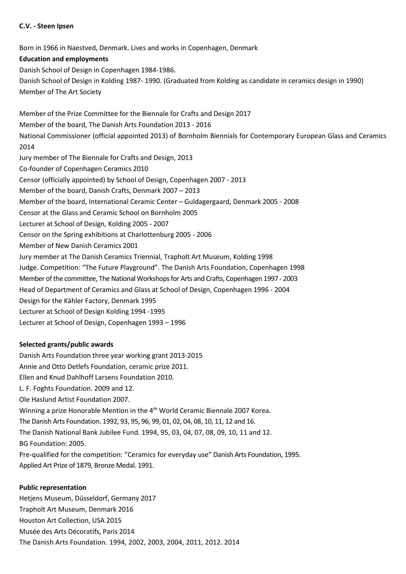### **C.V. - Steen Ipsen**

Born in 1966 in Naestved, Denmark. Lives and works in Copenhagen, Denmark **Education and employments** Danish School of Design in Copenhagen 1984-1986. Danish School of Design in Kolding 1987- 1990. (Graduated from Kolding as candidate in ceramics design in 1990) Member of The Art Society Member of the Prize Committee for the Biennale for Crafts and Design 2017 Member of the board, The Danish Arts Foundation 2013 - 2016 National Commissioner (official appointed 2013) of Bornholm Biennials for Contemporary European Glass and Ceramics 2014 Jury member of The Biennale for Crafts and Design, 2013 Co-founder of Copenhagen Ceramics 2010 Censor (officially appointed) by School of Design, Copenhagen 2007 - 2013 Member of the board, Danish Crafts, Denmark 2007 – 2013 Member of the board, International Ceramic Center – Guldagergaard, Denmark 2005 - 2008 Censor at the Glass and Ceramic School on Bornholm 2005 Lecturer at School of Design, Kolding 2005 - 2007 Censor on the Spring exhibitions at Charlottenburg 2005 - 2006 Member of New Danish Ceramics 2001 Jury member at The Danish Ceramics Triennial, Trapholt Art Museum, Kolding 1998 Judge. Competition: "The Future Playground". The Danish Arts Foundation, Copenhagen 1998 Member of the committee, The National Workshops for Arts and Crafts, Copenhagen 1997 - 2003 Head of Department of Ceramics and Glass at School of Design, Copenhagen 1996 - 2004 Design for the Kähler Factory, Denmark 1995 Lecturer at School of Design Kolding 1994 -1995

Lecturer at School of Design, Copenhagen 1993 – 1996

# **Selected grants/public awards**

Danish Arts Foundation three year working grant 2013-2015 Annie and Otto Detlefs Foundation, ceramic prize 2011. Ellen and Knud Dahlhoff Larsens Foundation 2010. L. F. Foghts Foundation. 2009 and 12. Ole Haslund Artist Foundation 2007. Winning a prize Honorable Mention in the 4<sup>th</sup> World Ceramic Biennale 2007 Korea. The Danish Arts Foundation. 1992, 93, 95, 96, 99, 01, 02, 04, 08, 10, 11, 12 and 16. The Danish National Bank Jubilee Fund. 1994, 95, 03, 04, 07, 08, 09, 10, 11 and 12. BG Foundation: 2005. Pre-qualified for the competition: "Ceramics for everyday use" Danish Arts Foundation, 1995. Applied Art Prize of 1879, Bronze Medal. 1991.

# **Public representation**

Hetjens Museum, Düsseldorf, Germany 2017 Trapholt Art Museum, Denmark 2016 Houston Art Collection, USA 2015 Musée des Arts Décoratifs, Paris 2014 The Danish Arts Foundation. 1994, 2002, 2003, 2004, 2011, 2012. 2014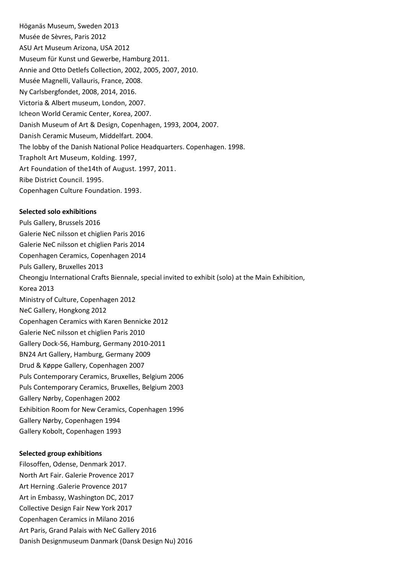Höganäs Museum, Sweden 2013 Musée de Sèvres, Paris 2012 ASU Art Museum Arizona, USA 2012 Museum für Kunst und Gewerbe, Hamburg 2011. Annie and Otto Detlefs Collection, 2002, 2005, 2007, 2010. Musée Magnelli, Vallauris, France, 2008. Ny Carlsbergfondet, 2008, 2014, 2016. Victoria & Albert museum, London, 2007. Icheon World Ceramic Center, Korea, 2007. Danish Museum of Art & Design, Copenhagen, 1993, 2004, 2007. Danish Ceramic Museum, Middelfart. 2004. The lobby of the Danish National Police Headquarters. Copenhagen. 1998. Trapholt Art Museum, Kolding. 1997, Art Foundation of the14th of August. 1997, 2011. Ribe District Council. 1995. Copenhagen Culture Foundation. 1993.

#### **Selected solo exhibitions**

Puls Gallery, Brussels 2016 Galerie NeC nilsson et chiglien Paris 2016 Galerie NeC nilsson et chiglien Paris 2014 Copenhagen Ceramics, Copenhagen 2014 Puls Gallery, Bruxelles 2013 Cheongju International Crafts Biennale, special invited to exhibit (solo) at the Main Exhibition, Korea 2013 Ministry of Culture, Copenhagen 2012 NeC Gallery, Hongkong 2012 Copenhagen Ceramics with Karen Bennicke 2012 Galerie NeC nilsson et chiglien Paris 2010 Gallery Dock-56, Hamburg, Germany 2010-2011 BN24 Art Gallery, Hamburg, Germany 2009 Drud & Køppe Gallery, Copenhagen 2007 Puls Contemporary Ceramics, Bruxelles, Belgium 2006 Puls Contemporary Ceramics, Bruxelles, Belgium 2003 Gallery Nørby, Copenhagen 2002 Exhibition Room for New Ceramics, Copenhagen 1996 Gallery Nørby, Copenhagen 1994 Gallery Kobolt, Copenhagen 1993

### **Selected group exhibitions**

Filosoffen, Odense, Denmark 2017.

North Art Fair. Galerie Provence 2017

- Art Herning .Galerie Provence 2017 Art in Embassy, Washington DC, 2017
- Collective Design Fair New York 2017
- Copenhagen Ceramics in Milano 2016
- Art Paris, Grand Palais with NeC Gallery 2016
- Danish Designmuseum Danmark (Dansk Design Nu) 2016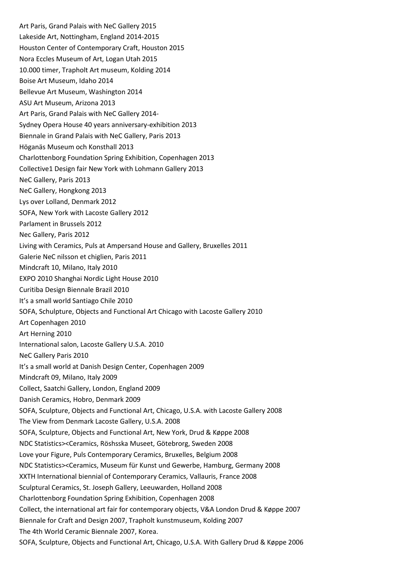Art Paris, Grand Palais with NeC Gallery 2015 Lakeside Art, Nottingham, England 2014-2015 Houston Center of Contemporary Craft, Houston 2015 Nora Eccles Museum of Art, Logan Utah 2015 10.000 timer, Trapholt Art museum, Kolding 2014 Boise Art Museum, Idaho 2014 Bellevue Art Museum, Washington 2014 ASU Art Museum, Arizona 2013 Art Paris, Grand Palais with NeC Gallery 2014- Sydney Opera House 40 years anniversary-exhibition 2013 Biennale in Grand Palais with NeC Gallery, Paris 2013 Höganäs Museum och Konsthall 2013 Charlottenborg Foundation Spring Exhibition, Copenhagen 2013 Collective1 Design fair New York with Lohmann Gallery 2013 NeC Gallery, Paris 2013 NeC Gallery, Hongkong 2013 Lys over Lolland, Denmark 2012 SOFA, New York with Lacoste Gallery 2012 Parlament in Brussels 2012 Nec Gallery, Paris 2012 Living with Ceramics, Puls at Ampersand House and Gallery, Bruxelles 2011 Galerie NeC nilsson et chiglien, Paris 2011 Mindcraft 10, Milano, Italy 2010 EXPO 2010 Shanghai Nordic Light House 2010 Curitiba Design Biennale Brazil 2010 It's a small world Santiago Chile 2010 SOFA, Schulpture, Objects and Functional Art Chicago with Lacoste Gallery 2010 Art Copenhagen 2010 Art Herning 2010 International salon, Lacoste Gallery U.S.A. 2010 NeC Gallery Paris 2010 It's a small world at Danish Design Center, Copenhagen 2009 Mindcraft 09, Milano, Italy 2009 Collect, Saatchi Gallery, London, England 2009 Danish Ceramics, Hobro, Denmark 2009 SOFA, Sculpture, Objects and Functional Art, Chicago, U.S.A. with Lacoste Gallery 2008 The View from Denmark Lacoste Gallery, U.S.A. 2008 SOFA, Sculpture, Objects and Functional Art, New York, Drud & Køppe 2008 NDC Statistics><Ceramics, Röshsska Museet, Götebrorg, Sweden 2008 Love your Figure, Puls Contemporary Ceramics, Bruxelles, Belgium 2008 NDC Statistics><Ceramics, Museum für Kunst und Gewerbe, Hamburg, Germany 2008 XXTH International biennial of Contemporary Ceramics, Vallauris, France 2008 Sculptural Ceramics, St. Joseph Gallery, Leeuwarden, Holland 2008 Charlottenborg Foundation Spring Exhibition, Copenhagen 2008 Collect, the international art fair for contemporary objects, V&A London Drud & Køppe 2007 Biennale for Craft and Design 2007, Trapholt kunstmuseum, Kolding 2007 The 4th World Ceramic Biennale 2007, Korea. SOFA, Sculpture, Objects and Functional Art, Chicago, U.S.A. With Gallery Drud & Køppe 2006